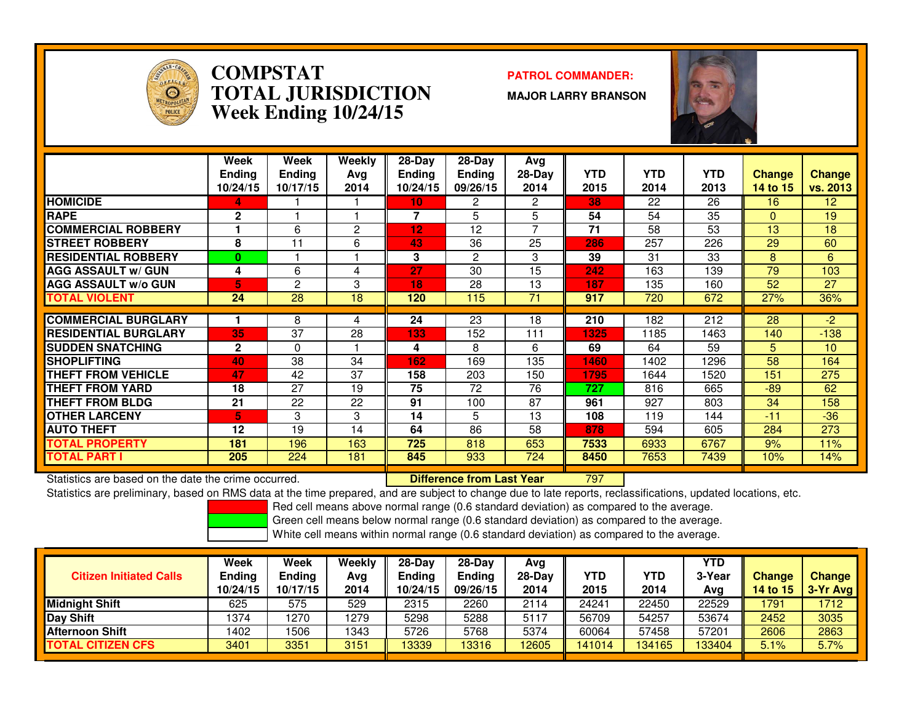

#### **COMPSTAT PATROL COMMANDER: TOTAL JURISDICTIONWeek Ending 10/24/15**

**MAJOR LARRY BRANSON**



|                             | Week<br><b>Ending</b><br>10/24/15 | Week<br><b>Ending</b><br>10/17/15 | Weekly<br>Ava<br>2014 | $28-Day$<br><b>Ending</b><br>10/24/15 | $28$ -Day<br><b>Ending</b><br>09/26/15 | Avg<br>$28-Day$<br>2014 | <b>YTD</b><br>2015 | <b>YTD</b><br>2014 | <b>YTD</b><br>2013 | <b>Change</b><br>14 to 15 | <b>Change</b><br>vs. 2013 |
|-----------------------------|-----------------------------------|-----------------------------------|-----------------------|---------------------------------------|----------------------------------------|-------------------------|--------------------|--------------------|--------------------|---------------------------|---------------------------|
| <b>HOMICIDE</b>             | 4                                 |                                   |                       | 10                                    | 2                                      | 2                       | 38                 | 22                 | 26                 | 16                        | 12                        |
| <b>RAPE</b>                 | 2                                 |                                   |                       | 7                                     | 5                                      | 5                       | 54                 | 54                 | 35                 | $\Omega$                  | 19                        |
| <b>COMMERCIAL ROBBERY</b>   |                                   | 6                                 | 2                     | 12                                    | 12                                     | 7                       | 71                 | 58                 | 53                 | 13                        | 18                        |
| <b>STREET ROBBERY</b>       | 8                                 | 11                                | 6                     | 43                                    | 36                                     | 25                      | 286                | 257                | 226                | 29                        | 60                        |
| <b>RESIDENTIAL ROBBERY</b>  | 0                                 |                                   |                       | 3                                     | 2                                      | 3                       | 39                 | 31                 | 33                 | 8                         | 6                         |
| <b>AGG ASSAULT w/ GUN</b>   | 4                                 | 6                                 | 4                     | 27                                    | 30                                     | 15                      | 242                | 163                | 139                | 79                        | 103                       |
| <b>AGG ASSAULT w/o GUN</b>  | 5.                                | 2                                 | 3                     | 18                                    | 28                                     | 13                      | 187                | 135                | 160                | 52                        | 27                        |
| <b>TOTAL VIOLENT</b>        | 24                                | 28                                | 18                    | 120                                   | 115                                    | 71                      | 917                | 720                | 672                | 27%                       | 36%                       |
|                             |                                   |                                   |                       |                                       |                                        |                         |                    |                    |                    |                           |                           |
| <b>COMMERCIAL BURGLARY</b>  |                                   | 8                                 | 4                     | 24                                    | 23                                     | 18                      | 210                | 182                | 212                | 28                        | -2                        |
| <b>RESIDENTIAL BURGLARY</b> | 35                                | 37                                | 28                    | 133                                   | 152                                    | 111                     | 1325               | 1185               | 1463               | 140                       | $-138$                    |
| <b>ISUDDEN SNATCHING</b>    | $\mathbf{2}$                      | $\Omega$                          |                       | 4                                     | 8                                      | 6                       | 69                 | 64                 | 59                 | 5.                        | 10                        |
| <b>SHOPLIFTING</b>          | 40                                | 38                                | 34                    | 162                                   | 169                                    | 135                     | 1460               | 1402               | 1296               | 58                        | 164                       |
| <b>THEFT FROM VEHICLE</b>   | 47                                | 42                                | 37                    | 158                                   | 203                                    | 150                     | 1795               | 1644               | 1520               | 151                       | 275                       |
| <b>THEFT FROM YARD</b>      | 18                                | 27                                | 19                    | 75                                    | 72                                     | 76                      | 727                | 816                | 665                | $-89$                     | 62                        |
| <b>THEFT FROM BLDG</b>      | 21                                | 22                                | 22                    | 91                                    | 100                                    | 87                      | 961                | 927                | 803                | 34                        | 158                       |
| <b>OTHER LARCENY</b>        | 5.                                | 3                                 | 3                     | 14                                    | 5                                      | 13                      | 108                | 119                | 144                | $-11$                     | $-36$                     |
| <b>AUTO THEFT</b>           | 12                                | 19                                | 14                    | 64                                    | 86                                     | 58                      | 878                | 594                | 605                | 284                       | 273                       |
| <b>TOTAL PROPERTY</b>       | 181                               | 196                               | 163                   | 725                                   | 818                                    | 653                     | 7533               | 6933               | 6767               | 9%                        | 11%                       |
| <b>TOTAL PART I</b>         | 205                               | 224                               | 181                   | 845                                   | 933                                    | 724                     | 8450               | 7653               | 7439               | 10%                       | 14%                       |

Statistics are based on the date the crime occurred. **Difference from Last Year** 

#### <sup>797</sup>

Statistics are preliminary, based on RMS data at the time prepared, and are subject to change due to late reports, reclassifications, updated locations, etc.

Red cell means above normal range (0.6 standard deviation) as compared to the average.

Green cell means below normal range (0.6 standard deviation) as compared to the average.

| <b>Citizen Initiated Calls</b> | Week<br>Ending<br>10/24/15 | <b>Week</b><br><b>Ending</b><br>10/17/15 | Weekly<br>Avg<br>2014 | $28-Dav$<br><b>Ending</b><br>10/24/15 | $28-Dav$<br><b>Ending</b><br>09/26/15 | Avg<br>$28-Day$<br>2014 | YTD<br>2015 | YTD<br>2014 | YTD<br>3-Year<br>Avg | <b>Change</b><br><b>14 to 15</b> | Change<br>$\sqrt{3}$ -Yr Avg |
|--------------------------------|----------------------------|------------------------------------------|-----------------------|---------------------------------------|---------------------------------------|-------------------------|-------------|-------------|----------------------|----------------------------------|------------------------------|
| <b>Midnight Shift</b>          | 625                        | 575                                      | 529                   | 2315                                  | 2260                                  | 2114                    | 24241       | 22450       | 22529                | 1791                             | 1712                         |
| Day Shift                      | 1374                       | 270                                      | 1279                  | 5298                                  | 5288                                  | 5117                    | 56709       | 54257       | 53674                | 2452                             | 3035                         |
| <b>Afternoon Shift</b>         | 1402                       | 506                                      | 1343                  | 5726                                  | 5768                                  | 5374                    | 60064       | 57458       | 57201                | 2606                             | 2863                         |
| <b>TOTAL CITIZEN CFS</b>       | 3401                       | 3351                                     | 3151                  | 13339                                 | 13316                                 | 12605                   | 141014      | 134165      | 133404               | 5.1%                             | 5.7%                         |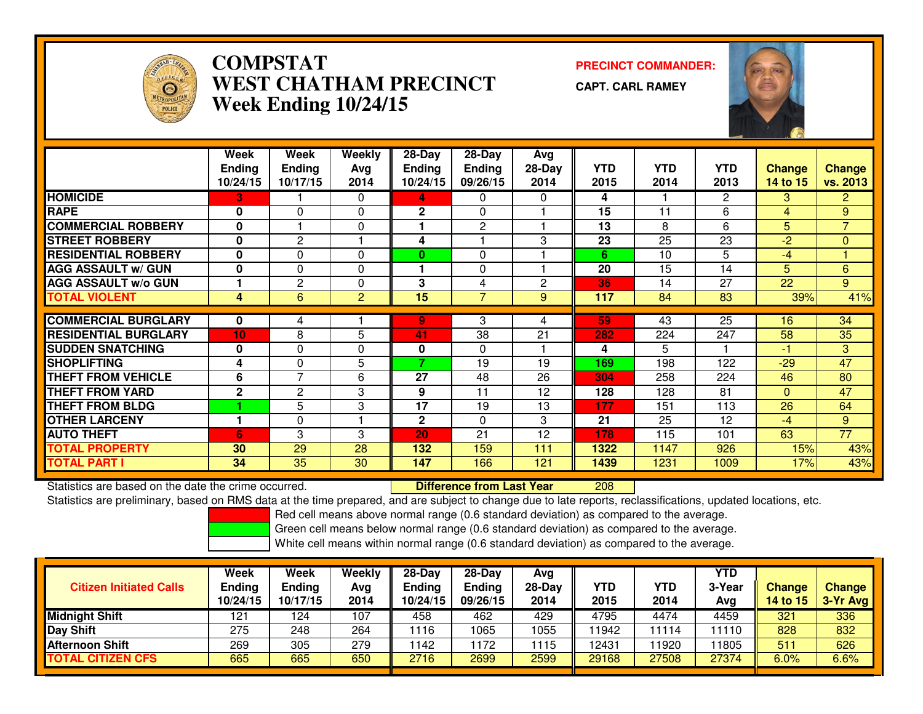

## **COMPSTAT PRECINCT COMMANDER: WEST CHATHAM PRECINCTWeek Ending 10/24/15**

**CAPT. CARL RAMEY**



|                             | Week<br><b>Ending</b> | Week<br><b>Ending</b> | <b>Weekly</b><br>Avg | $28-Day$<br><b>Ending</b> | 28-Day<br>Ending | Avg<br>$28-Day$ | YTD. | <b>YTD</b> | YTD.         | Change   | <b>Change</b>   |
|-----------------------------|-----------------------|-----------------------|----------------------|---------------------------|------------------|-----------------|------|------------|--------------|----------|-----------------|
|                             | 10/24/15              | 10/17/15              | 2014                 | 10/24/15                  | 09/26/15         | 2014            | 2015 | 2014       | 2013         | 14 to 15 | <b>vs. 2013</b> |
| <b>HOMICIDE</b>             | 3                     |                       | $\Omega$             | 4                         | 0                | 0               | 4    |            | $\mathbf{2}$ | 3        | 2 <sup>1</sup>  |
| <b>RAPE</b>                 | 0                     | $\Omega$              | $\Omega$             | $\mathbf{2}$              | 0                |                 | 15   | 11         | 6            | 4        | 9               |
| <b>COMMERCIAL ROBBERY</b>   | 0                     |                       | $\Omega$             |                           | $\mathbf{2}$     |                 | 13   | 8          | 6            | 5        | $\overline{7}$  |
| <b>STREET ROBBERY</b>       | 0                     | $\mathbf{2}$          |                      | 4                         |                  | 3               | 23   | 25         | 23           | -2       | $\mathbf{0}$    |
| <b>RESIDENTIAL ROBBERY</b>  | 0                     | $\Omega$              | $\Omega$             | 0                         | $\Omega$         |                 | 6    | 10         | 5            | $-4$     |                 |
| <b>AGG ASSAULT w/ GUN</b>   | 0                     | $\Omega$              | $\Omega$             | 1                         | 0                |                 | 20   | 15         | 14           | 5        | $6\phantom{a}$  |
| <b>AGG ASSAULT w/o GUN</b>  |                       | $\overline{c}$        | $\Omega$             | 3                         | 4                | 2               | 36   | 14         | 27           | 22       | 9               |
| <b>TOTAL VIOLENT</b>        | 4                     | 6                     | 2                    | 15                        | $\overline{7}$   | 9               | 117  | 84         | 83           | 39%      | 41%             |
|                             |                       |                       |                      |                           |                  |                 |      |            |              |          |                 |
| <b>COMMERCIAL BURGLARY</b>  | 0                     | 4                     |                      | 9                         | 3                | 4               | 59   | 43         | 25           | 16       | 34              |
| <b>RESIDENTIAL BURGLARY</b> | 10                    | 8                     | 5                    | 41                        | 38               | 21              | 282  | 224        | 247          | 58       | 35              |
| <b>SUDDEN SNATCHING</b>     | 0                     | $\Omega$              | $\Omega$             | 0                         | $\Omega$         |                 | 4    | 5          |              | $-1$     | 3               |
| <b>SHOPLIFTING</b>          | 4                     | 0                     | 5                    | 7                         | 19               | 19              | 169  | 198        | 122          | $-29$    | 47              |
| <b>THEFT FROM VEHICLE</b>   | 6                     | $\overline{7}$        | 6                    | 27                        | 48               | 26              | 304  | 258        | 224          | 46       | 80              |
| <b>THEFT FROM YARD</b>      | $\mathbf{2}$          | 2                     | 3                    | 9                         | 11               | 12              | 128  | 128        | 81           | $\Omega$ | 47              |
| <b>THEFT FROM BLDG</b>      |                       | 5                     | 3                    | $\overline{17}$           | 19               | 13              | 177  | 151        | 113          | 26       | 64              |
| <b>OTHER LARCENY</b>        |                       | $\Omega$              |                      | $\mathbf{2}$              | $\Omega$         | 3               | 21   | 25         | 12           | $-4$     | 9               |
| <b>AUTO THEFT</b>           | 6                     | 3                     | 3                    | 20                        | 21               | 12              | 178  | 115        | 101          | 63       | 77              |
| <b>TOTAL PROPERTY</b>       | 30                    | 29                    | 28                   | 132                       | 159              | 111             | 1322 | 1147       | 926          | 15%      | 43%             |
| <b>TOTAL PART I</b>         | 34                    | $\overline{35}$       | 30                   | 147                       | 166              | 121             | 1439 | 1231       | 1009         | 17%      | 43%             |

Statistics are based on the date the crime occurred. **Difference from Last Year**  <sup>208</sup>Statistics are preliminary, based on RMS data at the time prepared, and are subject to change due to late reports, reclassifications, updated locations, etc.

Red cell means above normal range (0.6 standard deviation) as compared to the average.

Green cell means below normal range (0.6 standard deviation) as compared to the average.

| <b>Citizen Initiated Calls</b> | Week<br><b>Ending</b><br>10/24/15 | Week<br><b>Ending</b><br>10/17/15 | Weekly<br>Avg<br>2014 | $28-Dav$<br>Ending<br>10/24/15 | 28-Day<br><b>Ending</b><br>09/26/15 | Avg<br>$28$ -Day<br>2014 | YTD<br>2015 | YTD<br>2014 | YTD<br>3-Year<br>Avg | Change<br>14 to 15 | Change<br>$3-Yr$ Avg |
|--------------------------------|-----------------------------------|-----------------------------------|-----------------------|--------------------------------|-------------------------------------|--------------------------|-------------|-------------|----------------------|--------------------|----------------------|
| <b>Midnight Shift</b>          | 121                               | 124                               | 107                   | 458                            | 462                                 | 429                      | 4795        | 4474        | 4459                 | 321                | 336                  |
| <b>Day Shift</b>               | 275                               | 248                               | 264                   | 1116                           | 1065                                | 1055                     | 11942       | 1114        | 11110                | 828                | 832                  |
| Afternoon Shift                | 269                               | 305                               | 279                   | 142                            | 172                                 | 1115                     | 12431       | 1920        | 1805                 | 511                | 626                  |
| <b>TOTAL CITIZEN CFS</b>       | 665                               | 665                               | 650                   | 2716                           | 2699                                | 2599                     | 29168       | 27508       | 27374                | 6.0%               | 6.6%                 |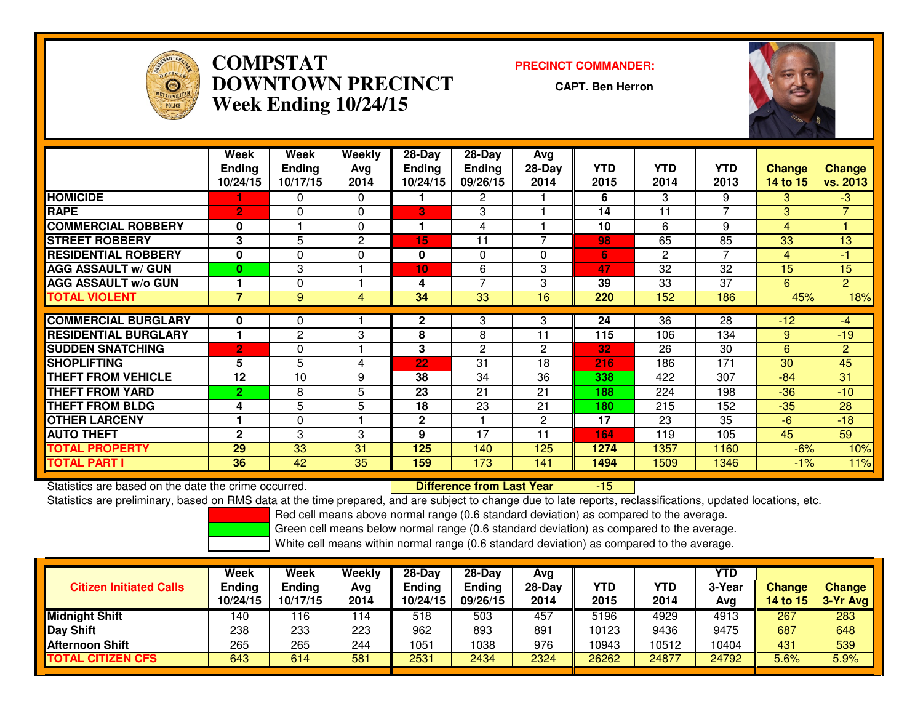

## **COMPSTAT PRECINCT COMMANDER: DOWNTOWN PRECINCTWeek Ending 10/24/15**

**CAPT. Ben Herron**



|                             | <b>Week</b>    | Week          | Weekly   | $28-Day$      | $28$ -Day      | Avg            |            |                 |                |               |                |
|-----------------------------|----------------|---------------|----------|---------------|----------------|----------------|------------|-----------------|----------------|---------------|----------------|
|                             | <b>Ending</b>  | <b>Ending</b> | Ava      | <b>Ending</b> | <b>Ending</b>  | $28-Day$       | <b>YTD</b> | <b>YTD</b>      | <b>YTD</b>     | <b>Change</b> | <b>Change</b>  |
|                             | 10/24/15       | 10/17/15      | 2014     | 10/24/15      | 09/26/15       | 2014           | 2015       | 2014            | 2013           | 14 to 15      | vs. 2013       |
| <b>HOMICIDE</b>             |                | 0             | $\Omega$ |               | 2              |                | 6          | 3               | 9              | 3             | $-3$           |
| <b>RAPE</b>                 | $\overline{2}$ | 0             | $\Omega$ | 3             | 3              |                | 14         | 11              | 7              | 3             | $\overline{7}$ |
| <b>COMMERCIAL ROBBERY</b>   | 0              |               | $\Omega$ | 1             | 4              |                | 10         | 6               | 9              | 4             |                |
| <b>ISTREET ROBBERY</b>      | 3              | 5             | 2        | 15            | 11             | 7              | 98         | 65              | 85             | 33            | 13             |
| <b>RESIDENTIAL ROBBERY</b>  | 0              | $\Omega$      | 0        | 0             | $\Omega$       | $\Omega$       | 6          | $\overline{c}$  | $\overline{7}$ | 4             | $-1$           |
| <b>AGG ASSAULT w/ GUN</b>   | $\bf{0}$       | 3             |          | 10            | 6              | 3              | 47         | 32              | 32             | 15            | 15             |
| <b>AGG ASSAULT w/o GUN</b>  |                | 0             |          | 4             | $\overline{7}$ | 3              | 39         | 33              | 37             | 6.            | $\overline{2}$ |
| <b>TOTAL VIOLENT</b>        | $\overline{7}$ | 9             | 4        | 34            | 33             | 16             | 220        | 152             | 186            | 45%           | 18%            |
|                             |                |               |          |               |                |                |            |                 |                |               |                |
| <b>COMMERCIAL BURGLARY</b>  | 0              | 0             |          | $\mathbf{2}$  | 3              | 3              | 24         | $\overline{36}$ | 28             | $-12$         | $-4$           |
| <b>RESIDENTIAL BURGLARY</b> |                | $\mathbf{2}$  | 3        | 8             | 8              | 11             | 115        | 106             | 134            | 9             | $-19$          |
| <b>SUDDEN SNATCHING</b>     | $\overline{2}$ | 0             |          | 3             | $\overline{2}$ | $\overline{2}$ | 32         | 26              | 30             | 6             | $\overline{c}$ |
| <b>ISHOPLIFTING</b>         | 5              | 5             | 4        | 22            | 31             | 18             | 216        | 186             | 171            | 30            | 45             |
| <b>THEFT FROM VEHICLE</b>   | 12             | 10            | 9        | 38            | 34             | 36             | 338        | 422             | 307            | $-84$         | 31             |
| <b>THEFT FROM YARD</b>      | $\overline{2}$ | 8             | 5        | 23            | 21             | 21             | 188        | 224             | 198            | -36           | $-10$          |
| <b>THEFT FROM BLDG</b>      | 4              | 5             | 5        | 18            | 23             | 21             | 180        | 215             | 152            | $-35$         | 28             |
| <b>OTHER LARCENY</b>        |                | 0             |          | 2             |                | $\overline{2}$ | 17         | 23              | 35             | $-6$          | $-18$          |
| <b>AUTO THEFT</b>           | $\mathbf{2}$   | 3             | 3        | 9             | 17             | 11             | 164        | 119             | 105            | 45            | 59             |
| <b>TOTAL PROPERTY</b>       | 29             | 33            | 31       | 125           | 140            | 125            | 1274       | 1357            | 1160           | $-6%$         | 10%            |
| <b>TOTAL PART I</b>         | 36             | 42            | 35       | 159           | 173            | 141            | 1494       | 1509            | 1346           | $-1\%$        | 11%            |

Statistics are based on the date the crime occurred. **Difference from Last Year**  -15Statistics are preliminary, based on RMS data at the time prepared, and are subject to change due to late reports, reclassifications, updated locations, etc.

Red cell means above normal range (0.6 standard deviation) as compared to the average.

Green cell means below normal range (0.6 standard deviation) as compared to the average.

| <b>Citizen Initiated Calls</b> | Week<br><b>Ending</b><br>10/24/15 | Week<br><b>Ending</b><br>10/17/15 | Weekly<br>Avg<br>2014 | 28-Day<br>Ending<br>10/24/15 | 28-Day<br><b>Ending</b><br>09/26/15 | Avg<br>$28-Day$<br>2014 | YTD<br>2015 | <b>YTD</b><br>2014 | YTD<br>3-Year<br>Avg | <b>Change</b><br>14 to 15 | <b>Change</b><br>3-Yr Avg |
|--------------------------------|-----------------------------------|-----------------------------------|-----------------------|------------------------------|-------------------------------------|-------------------------|-------------|--------------------|----------------------|---------------------------|---------------------------|
| <b>Midnight Shift</b>          | 140                               | 16                                | 114                   | 518                          | 503                                 | 457                     | 5196        | 4929               | 4913                 | 267                       | 283                       |
| <b>Day Shift</b>               | 238                               | 233                               | 223                   | 962                          | 893                                 | 891                     | 10123       | 9436               | 9475                 | 687                       | 648                       |
| Afternoon Shift                | 265                               | 265                               | 244                   | 1051                         | 1038                                | 976                     | 10943       | 10512              | 10404                | 431                       | 539                       |
| <b>TOTAL CITIZEN CFS</b>       | 643                               | 614                               | 581                   | 2531                         | 2434                                | 2324                    | 26262       | 24877              | 24792                | 5.6%                      | 5.9%                      |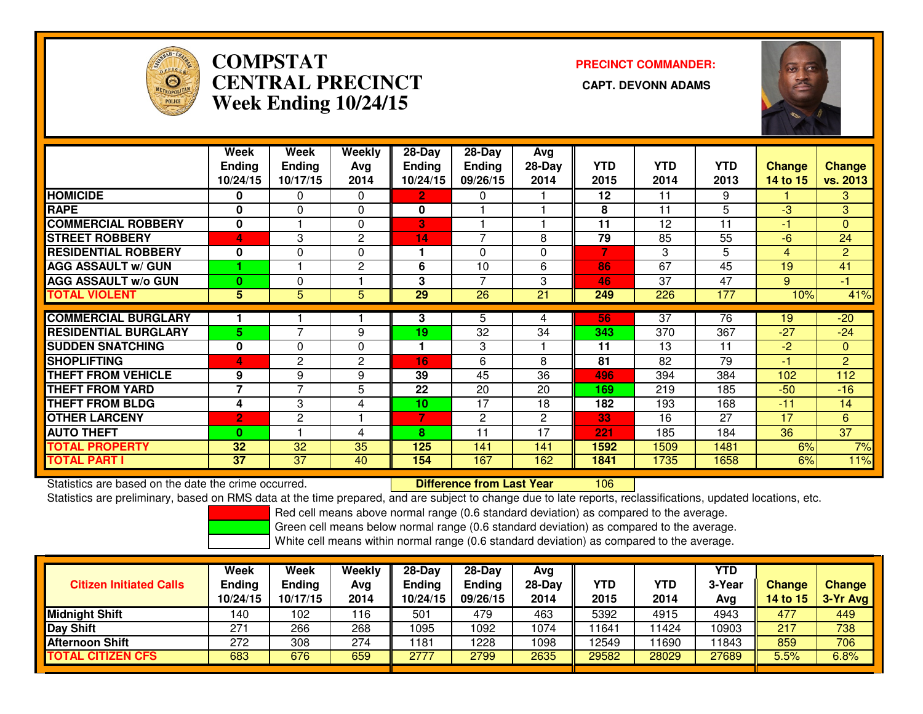

# **COMPSTATCENTRAL PRECINCT Week Ending 10/24/15**

**PRECINCT COMMANDER:**



|                             | Week                    | Week           | Weekly         | 28-Day        | $28$ -Day      | Avg          |            |                 |                |                |                 |
|-----------------------------|-------------------------|----------------|----------------|---------------|----------------|--------------|------------|-----------------|----------------|----------------|-----------------|
|                             | <b>Ending</b>           | <b>Ending</b>  | Avg            | <b>Ending</b> | <b>Ending</b>  | $28-Day$     | <b>YTD</b> | <b>YTD</b>      | <b>YTD</b>     | <b>Change</b>  | <b>Change</b>   |
|                             | 10/24/15                | 10/17/15       | 2014           | 10/24/15      | 09/26/15       | 2014         | 2015       | 2014            | 2013           | 14 to 15       | vs. 2013        |
| <b>HOMICIDE</b>             | 0                       | 0              | $\Omega$       | $\mathbf{2}$  | 0              |              | 12         | 11              | 9              |                | 3               |
| <b>RAPE</b>                 | 0                       | 0              | $\Omega$       | 0             |                |              | 8          | 11              | $\overline{5}$ | $-3$           | $\overline{3}$  |
| <b>COMMERCIAL ROBBERY</b>   | 0                       |                | $\Omega$       | 3             |                |              | 11         | 12              | 11             | -1             | $\Omega$        |
| <b>STREET ROBBERY</b>       | $\overline{\mathbf{A}}$ | 3              | 2              | 14            | 7              | 8            | 79         | 85              | 55             | $-6$           | 24              |
| <b>RESIDENTIAL ROBBERY</b>  | $\bf{0}$                | 0              | $\Omega$       | 1             | $\Omega$       | 0            | 7          | 3               | 5              | $\overline{4}$ | $\overline{2}$  |
| <b>AGG ASSAULT w/ GUN</b>   |                         |                | $\overline{2}$ | 6             | 10             | 6            | 86         | 67              | 45             | 19             | 41              |
| <b>AGG ASSAULT w/o GUN</b>  | $\bf{0}$                | 0              |                | 3             | $\overline{7}$ | 3            | 46         | 37              | 47             | 9              | $-1$            |
| <b>TOTAL VIOLENT</b>        | 5                       | 5              | 5              | 29            | 26             | 21           | 249        | 226             | 177            | 10%            | 41%             |
| <b>COMMERCIAL BURGLARY</b>  |                         |                |                | 3             | 5              |              | 56         | $\overline{37}$ | 76             | 19             | $-20$           |
|                             |                         | $\overline{7}$ |                |               |                | 4            |            |                 |                |                |                 |
| <b>RESIDENTIAL BURGLARY</b> | 5                       |                | 9              | 19            | 32             | 34           | 343        | 370             | 367            | $-27$          | $-24$           |
| <b>SUDDEN SNATCHING</b>     | 0                       | 0              | $\Omega$       | 1             | 3              |              | 11         | 13              | 11             | $-2$           | $\mathbf{0}$    |
| <b>SHOPLIFTING</b>          | 4                       | 2              | $\overline{2}$ | 16            | 6              | 8            | 81         | 82              | 79             | 41             | $\overline{2}$  |
| <b>THEFT FROM VEHICLE</b>   | 9                       | 9              | 9              | 39            | 45             | 36           | 496        | 394             | 384            | 102            | 112             |
| <b>THEFT FROM YARD</b>      | $\overline{7}$          | 7              | 5              | 22            | 20             | 20           | 169        | 219             | 185            | $-50$          | $-16$           |
| <b>THEFT FROM BLDG</b>      | 4                       | 3              | 4              | 10            | 17             | 18           | 182        | 193             | 168            | $-11$          | 14              |
| <b>OTHER LARCENY</b>        | $\overline{2}$          | 2              |                | 7             | $\mathbf{2}$   | $\mathbf{2}$ | 33         | 16              | 27             | 17             | 6               |
| <b>AUTO THEFT</b>           | $\mathbf{0}$            |                | 4              | 8             | 11             | 17           | 221        | 185             | 184            | 36             | $\overline{37}$ |
| <b>TOTAL PROPERTY</b>       | 32                      | 32             | 35             | 125           | 141            | 141          | 1592       | 1509            | 1481           | 6%             | 7%              |
| <b>TOTAL PART I</b>         | 37                      | 37             | 40             | 154           | 167            | 162          | 1841       | 1735            | 1658           | 6%             | 11%             |

Statistics are based on the date the crime occurred. **Difference from Last Year** 

Statistics are based on the date the crime occurred. **Exerce the Lub of Lifterence from Last Year Nome 106 Exer**<br>Statistics are preliminary, based on RMS data at the time prepared, and are subject to change due to late rep

Red cell means above normal range (0.6 standard deviation) as compared to the average.

Green cell means below normal range (0.6 standard deviation) as compared to the average.

| <b>Citizen Initiated Calls</b> | Week<br><b>Ending</b><br>10/24/15 | Week<br><b>Ending</b><br>10/17/15 | Weekly<br>Avg<br>2014 | 28-Day<br><b>Ending</b><br>10/24/15 | $28-Dav$<br><b>Ending</b><br>09/26/15 | Ava<br>$28-Day$<br>2014 | <b>YTD</b><br>2015 | YTD<br>2014 | YTD<br>3-Year<br>Avg | <b>Change</b><br>14 to $15$ | <b>Change</b><br>3-Yr Avg |
|--------------------------------|-----------------------------------|-----------------------------------|-----------------------|-------------------------------------|---------------------------------------|-------------------------|--------------------|-------------|----------------------|-----------------------------|---------------------------|
| <b>Midnight Shift</b>          | 140                               | 102                               | 116                   | 501                                 | 479                                   | 463                     | 5392               | 4915        | 4943                 | 477                         | 449                       |
| Day Shift                      | 271                               | 266                               | 268                   | 1095                                | 092                                   | 1074                    | 11641              | 1424        | 10903                | 217                         | 738                       |
| Afternoon Shift                | 272                               | 308                               | 274                   | 1181                                | 228                                   | 1098                    | 12549              | 1690        | 11843                | 859                         | 706                       |
| <b>TOTAL CITIZEN CFS</b>       | 683                               | 676                               | 659                   | 2777                                | 2799                                  | 2635                    | 29582              | 28029       | 27689                | 5.5%                        | 6.8%                      |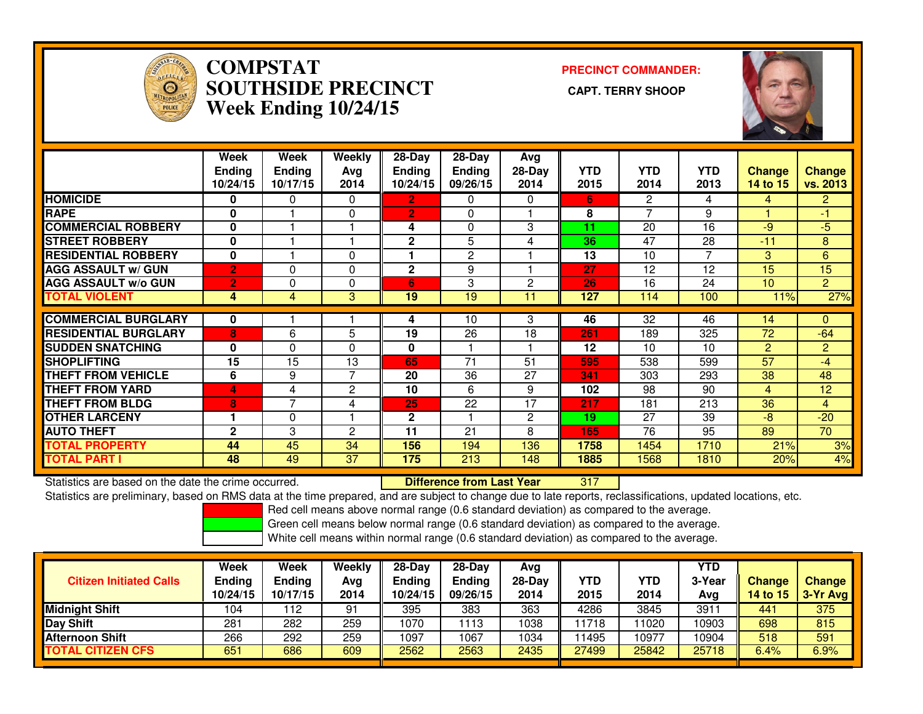

#### **COMPSTAT PRECINCT COMMANDER: SOUTHSIDE PRECINCT CAPT. TERRY SHOOPWeek Ending 10/24/15**



|                             | Week<br><b>Ending</b><br>10/24/15 | Week<br><b>Ending</b><br>10/17/15 | Weekly<br>Avg<br>2014 | $28-Day$<br><b>Ending</b><br>10/24/15 | $28-Day$<br><b>Ending</b><br>09/26/15 | Avg<br>28-Day<br>2014 | <b>YTD</b><br>2015 | <b>YTD</b><br>2014 | <b>YTD</b><br>2013 | <b>Change</b><br>14 to 15 | <b>Change</b><br>vs. 2013 |
|-----------------------------|-----------------------------------|-----------------------------------|-----------------------|---------------------------------------|---------------------------------------|-----------------------|--------------------|--------------------|--------------------|---------------------------|---------------------------|
| <b>HOMICIDE</b>             | 0                                 | 0                                 | 0                     | 2                                     | 0                                     | 0                     | 6.                 | $\overline{2}$     | 4                  | 4                         | $\overline{2}$            |
| <b>RAPE</b>                 | $\mathbf{0}$                      |                                   | 0                     | $\overline{2}$                        | $\Omega$                              |                       | 8                  |                    | 9                  |                           | -1                        |
| <b>COMMERCIAL ROBBERY</b>   | $\mathbf{0}$                      |                                   |                       | 4                                     | $\Omega$                              | 3                     | 11                 | 20                 | 16                 | $-9$                      | $-5$                      |
| <b>STREET ROBBERY</b>       | $\mathbf 0$                       |                                   |                       | $\overline{2}$                        | 5                                     | 4                     | 36                 | 47                 | 28                 | $-11$                     | 8                         |
| <b>RESIDENTIAL ROBBERY</b>  | $\mathbf 0$                       |                                   | 0                     |                                       | $\mathbf{2}$                          |                       | 13                 | 10                 | 7                  | 3                         | 6                         |
| <b>AGG ASSAULT w/ GUN</b>   | $\overline{2}$                    | 0                                 | 0                     | $\overline{2}$                        | 9                                     |                       | 27                 | 12                 | 12                 | 15                        | 15                        |
| <b>IAGG ASSAULT w/o GUN</b> | $\overline{2}$                    | $\Omega$                          | 0                     | 6                                     | 3                                     | 2                     | 26                 | 16                 | 24                 | 10                        | $\overline{2}$            |
| <b>TOTAL VIOLENT</b>        | 4                                 | 4                                 | 3                     | 19                                    | 19                                    | 11                    | 127                | 114                | 100                | 11%                       | 27%                       |
|                             |                                   |                                   |                       |                                       |                                       |                       |                    |                    |                    |                           |                           |
| <b>ICOMMERCIAL BURGLARY</b> | 0                                 |                                   |                       | 4                                     | 10                                    | 3                     | 46                 | 32                 | 46                 | 14                        | 0                         |
| <b>RESIDENTIAL BURGLARY</b> | 8                                 | 6                                 | 5                     | 19                                    | 26                                    | 18                    | 261                | 189                | 325                | 72                        | $-64$                     |
| <b>SUDDEN SNATCHING</b>     | $\bf{0}$                          | 0                                 | 0                     | 0                                     |                                       |                       | 12                 | 10                 | 10                 | $\overline{2}$            | $\overline{2}$            |
| <b>SHOPLIFTING</b>          | $\overline{15}$                   | $\overline{15}$                   | 13                    | 65                                    | 71                                    | 51                    | 595                | 538                | 599                | 57                        | $-4$                      |
| <b>THEFT FROM VEHICLE</b>   | 6                                 | 9                                 | 7                     | 20                                    | 36                                    | 27                    | 341                | 303                | 293                | 38                        | 48                        |
| <b>THEFT FROM YARD</b>      | 4                                 | 4                                 | 2                     | 10                                    | 6                                     | 9                     | 102                | 98                 | 90                 | 4                         | 12                        |
| <b>THEFT FROM BLDG</b>      | 8                                 | $\overline{ }$                    | 4                     | 25                                    | 22                                    | 17                    | 217                | 181                | 213                | 36                        | 4                         |
| <b>OTHER LARCENY</b>        |                                   | 0                                 |                       | 2                                     |                                       | 2                     | 19                 | 27                 | 39                 | $-8$                      | $-20$                     |
| <b>AUTO THEFT</b>           | $\mathbf{2}$                      | 3                                 | 2                     | 11                                    | 21                                    | 8                     | 165                | 76                 | 95                 | 89                        | $\overline{70}$           |
| <b>TOTAL PROPERTY</b>       | 44                                | 45                                | 34                    | 156                                   | 194                                   | 136                   | 1758               | 1454               | 1710               | 21%                       | 3%                        |
| <b>TOTAL PART I</b>         | 48                                | 49                                | 37                    | 175                                   | 213                                   | 148                   | 1885               | 1568               | 1810               | 20%                       | 4%                        |

Statistics are based on the date the crime occurred. **Difference from Last Year** 

<sup>317</sup>

Statistics are preliminary, based on RMS data at the time prepared, and are subject to change due to late reports, reclassifications, updated locations, etc.

Red cell means above normal range (0.6 standard deviation) as compared to the average.

Green cell means below normal range (0.6 standard deviation) as compared to the average.

| <b>Citizen Initiated Calls</b> | <b>Week</b><br><b>Ending</b><br>10/24/15 | Week<br>Ending<br>10/17/15 | Weekly<br>Avg<br>2014 | $28-Dav$<br><b>Ending</b><br>10/24/15 | $28-Dav$<br><b>Ending</b><br>09/26/15 | Ava<br>28-Dav<br>2014 | YTD<br>2015 | YTD<br>2014 | <b>YTD</b><br>3-Year<br>Ava | <b>Change</b><br>14 to 15 | <b>Change</b><br>3-Yr Avg |
|--------------------------------|------------------------------------------|----------------------------|-----------------------|---------------------------------------|---------------------------------------|-----------------------|-------------|-------------|-----------------------------|---------------------------|---------------------------|
| <b>Midnight Shift</b>          | 104                                      | 112                        | 91                    | 395                                   | 383                                   | 363                   | 4286        | 3845        | 391                         | 441                       | 375                       |
| Day Shift                      | 281                                      | 282                        | 259                   | 1070                                  | 1113                                  | 1038                  | 11718       | 1020        | 10903                       | 698                       | 815                       |
| <b>Afternoon Shift</b>         | 266                                      | 292                        | 259                   | 1097                                  | 1067                                  | 1034                  | 1495        | 10977       | 10904                       | 518                       | 591                       |
| <b>TOTAL CITIZEN CFS</b>       | 651                                      | 686                        | 609                   | 2562                                  | 2563                                  | 2435                  | 27499       | 25842       | 25718                       | 6.4%                      | 6.9%                      |